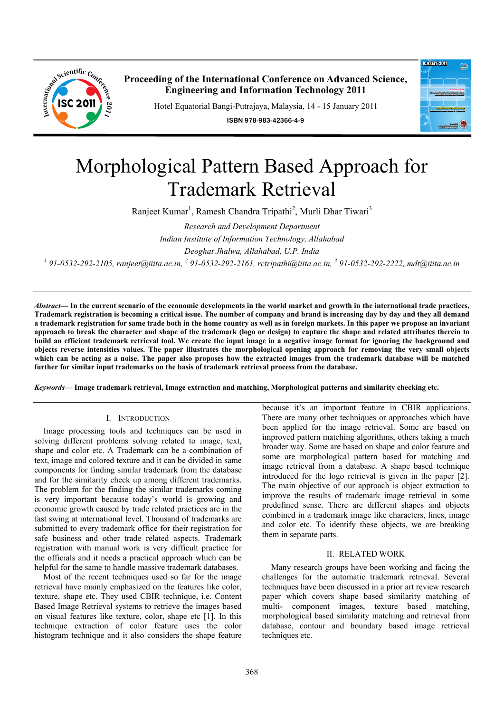

**Proceeding of the International Conference on Advanced Science, Engineering and Information Technology 2011**

Hotel Equatorial Bangi-Putrajaya, Malaysia, 14 - 15 January 2011

**ISBN 978-983-42366-4-9**



# Morphological Pattern Based Approach for Trademark Retrieval

Ranjeet Kumar<sup>1</sup>, Ramesh Chandra Tripathi<sup>2</sup>, Murli Dhar Tiwari<sup>3</sup>

*Research and Development Department Indian Institute of Information Technology, Allahabad Deoghat Jhalwa, Allahabad, U.P. India*  <sup>1</sup> 91-0532-292-2105, ranjeet@iiita.ac.in, <sup>2</sup> 91-0532-292-2161, rctripathi@iiita.ac.in, <sup>3</sup> 91-0532-292-2222, mdt@iiita.ac.in

*Abstract***— In the current scenario of the economic developments in the world market and growth in the international trade practices, Trademark registration is becoming a critical issue. The number of company and brand is increasing day by day and they all demand a trademark registration for same trade both in the home country as well as in foreign markets. In this paper we propose an invariant approach to break the character and shape of the trademark (logo or design) to capture the shape and related attributes therein to build an efficient trademark retrieval tool. We create the input image in a negative image format for ignoring the background and objects reverse intensities values. The paper illustrates the morphological opening approach for removing the very small objects**  which can be acting as a noise. The paper also proposes how the extracted images from the trademark database will be matched **further for similar input trademarks on the basis of trademark retrieval process from the database.** 

*Keywords***— Image trademark retrieval, Image extraction and matching, Morphological patterns and similarity checking etc.** 

#### I. INTRODUCTION

Image processing tools and techniques can be used in solving different problems solving related to image, text, shape and color etc. A Trademark can be a combination of text, image and colored texture and it can be divided in same components for finding similar trademark from the database and for the similarity check up among different trademarks. The problem for the finding the similar trademarks coming is very important because today's world is growing and economic growth caused by trade related practices are in the fast swing at international level. Thousand of trademarks are submitted to every trademark office for their registration for safe business and other trade related aspects. Trademark registration with manual work is very difficult practice for the officials and it needs a practical approach which can be helpful for the same to handle massive trademark databases.

Most of the recent techniques used so far for the image retrieval have mainly emphasized on the features like color, texture, shape etc. They used CBIR technique, i.e. Content Based Image Retrieval systems to retrieve the images based on visual features like texture, color, shape etc [1]. In this technique extraction of color feature uses the color histogram technique and it also considers the shape feature because it's an important feature in CBIR applications. There are many other techniques or approaches which have been applied for the image retrieval. Some are based on improved pattern matching algorithms, others taking a much broader way. Some are based on shape and color feature and some are morphological pattern based for matching and image retrieval from a database. A shape based technique introduced for the logo retrieval is given in the paper [2]. The main objective of our approach is object extraction to improve the results of trademark image retrieval in some predefined sense. There are different shapes and objects combined in a trademark image like characters, lines, image and color etc. To identify these objects, we are breaking them in separate parts.

#### II. RELATED WORK

Many research groups have been working and facing the challenges for the automatic trademark retrieval. Several techniques have been discussed in a prior art review research paper which covers shape based similarity matching of multi- component images, texture based matching, morphological based similarity matching and retrieval from database, contour and boundary based image retrieval techniques etc.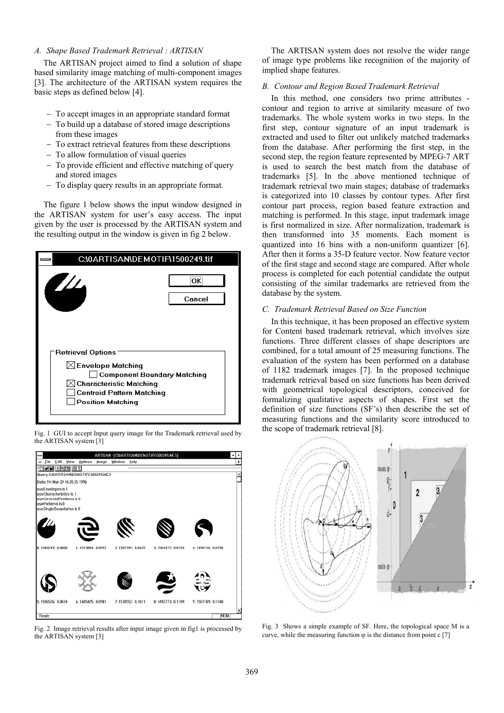# *A. Shape Based Trademark Retrieval : ARTISAN*

The ARTISAN project aimed to find a solution of shape based similarity image matching of multi-component images [3]. The architecture of the ARTISAN system requires the basic steps as defined below [4].

- To accept images in an appropriate standard format
- To build up a database of stored image descriptions from these images
- To extract retrieval features from these descriptions
- To allow formulation of visual queries
- To provide efficient and effective matching of query and stored images
- To display query results in an appropriate format.

The figure 1 below shows the input window designed in the ARTISAN system for user's easy access. The input given by the user is processed by the ARTISAN system and the resulting output in the window is given in fig 2 below.

| C:\0ARTISAN\DEMOTIF\1500249.tif                                                                                                                                                  |               |
|----------------------------------------------------------------------------------------------------------------------------------------------------------------------------------|---------------|
| $\mathbf{Z}/\mathbf{Z}$                                                                                                                                                          | OK:<br>Cancel |
| Retrieval Options<br>$\boxtimes$ Envelope Matching<br>  Component Boundary Matching<br>∫ Characteristic Matching<br><b>Centroid Pattern Matching</b><br><b>Position Matching</b> |               |

Fig. 1 GUI to accept Input query image for the Trademark retrieval used by the ARTISAN system [3]



Fig. 2 Image retrieval results after input image given in fig1 is processed by the ARTISAN system [3]

The ARTISAN system does not resolve the wider range of image type problems like recognition of the majority of implied shape features.

#### *B. Contour and Region Based Trademark Retrieval*

In this method, one considers two prime attributes contour and region to arrive at similarity measure of two trademarks. The whole system works in two steps. In the first step, contour signature of an input trademark is extracted and used to filter out unlikely matched trademarks from the database. After performing the first step, in the second step, the region feature represented by MPEG-7 ART is used to search the best match from the database of trademarks [5]. In the above mentioned technique of trademark retrieval two main stages; database of trademarks is categorized into 10 classes by contour types. After first contour part process, region based feature extraction and matching is performed. In this stage, input trademark image is first normalized in size. After normalization, trademark is then transformed into 35 moments. Each moment is quantized into 16 bins with a non-uniform quantizer [6]. After then it forms a 35-D feature vector. Now feature vector of the first stage and second stage are compared. After whole process is completed for each potential candidate the output consisting of the similar trademarks are retrieved from the database by the system.

## *C. Trademark Retrieval Based on Size Function*

In this technique, it has been proposed an effective system for Content based trademark retrieval, which involves size functions. Three different classes of shape descriptors are combined, for a total amount of 25 measuring functions. The evaluation of the system has been performed on a database of 1182 trademark images [7]. In the proposed technique trademark retrieval based on size functions has been derived with geometrical topological descriptors, conceived for formalizing qualitative aspects of shapes. First set the definition of size functions (SF's) then describe the set of measuring functions and the similarity score introduced to the scope of trademark retrieval [8].



Fig. 3 Shows a simple example of SF. Here, the topological space M is a curve, while the measuring function  $\varphi$  is the distance from point c [7]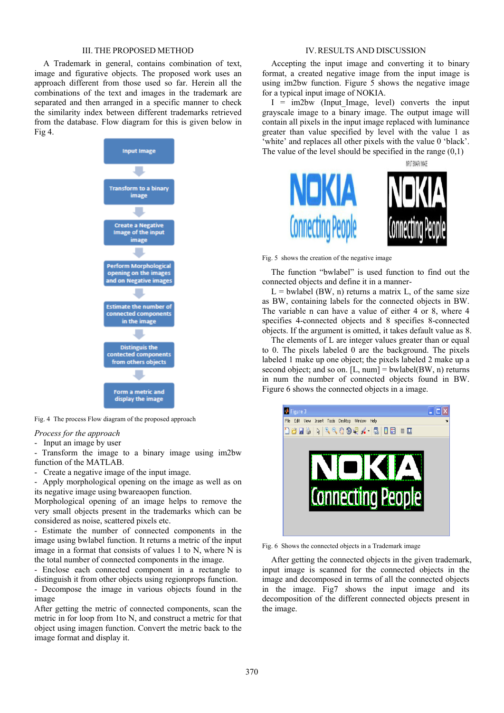#### III. THE PROPOSED METHOD

A Trademark in general, contains combination of text, image and figurative objects. The proposed work uses an approach different from those used so far. Herein all the combinations of the text and images in the trademark are separated and then arranged in a specific manner to check the similarity index between different trademarks retrieved from the database. Flow diagram for this is given below in Fig 4.



Fig. 4 The process Flow diagram of the proposed approach

# *Process for the approach*

- Input an image by user

- Transform the image to a binary image using im2bw function of the MATLAB.

- Create a negative image of the input image.

- Apply morphological opening on the image as well as on its negative image using bwareaopen function.

Morphological opening of an image helps to remove the very small objects present in the trademarks which can be considered as noise, scattered pixels etc.

- Estimate the number of connected components in the image using bwlabel function. It returns a metric of the input image in a format that consists of values 1 to N, where N is the total number of connected components in the image.

- Enclose each connected component in a rectangle to distinguish it from other objects using regionprops function. - Decompose the image in various objects found in the

image

After getting the metric of connected components, scan the metric in for loop from 1to N, and construct a metric for that object using imagen function. Convert the metric back to the image format and display it.

#### IV.RESULTS AND DISCUSSION

Accepting the input image and converting it to binary format, a created negative image from the input image is using im2bw function. Figure  $\overline{5}$  shows the negative image for a typical input image of NOKIA.

 $I = im2bw$  (Input Image, level) converts the input grayscale image to a binary image. The output image will contain all pixels in the input image replaced with luminance greater than value specified by level with the value 1 as 'white' and replaces all other pixels with the value 0 'black'. The value of the level should be specified in the range  $(0,1)$ 



Fig. 5 shows the creation of the negative image

The function "bwlabel" is used function to find out the connected objects and define it in a manner-

 $L =$  bwlabel (BW, n) returns a matrix L, of the same size as BW, containing labels for the connected objects in BW. The variable n can have a value of either 4 or 8, where 4 specifies 4-connected objects and 8 specifies 8-connected objects. If the argument is omitted, it takes default value as 8.

The elements of L are integer values greater than or equal to 0. The pixels labeled 0 are the background. The pixels labeled 1 make up one object; the pixels labeled 2 make up a second object; and so on.  $[L, num] = \text{bwlabel}(BW, n)$  returns in num the number of connected objects found in BW. Figure 6 shows the connected objects in a image.



Fig. 6 Shows the connected objects in a Trademark image

After getting the connected objects in the given trademark, input image is scanned for the connected objects in the image and decomposed in terms of all the connected objects in the image. Fig7 shows the input image and its decomposition of the different connected objects present in the image.